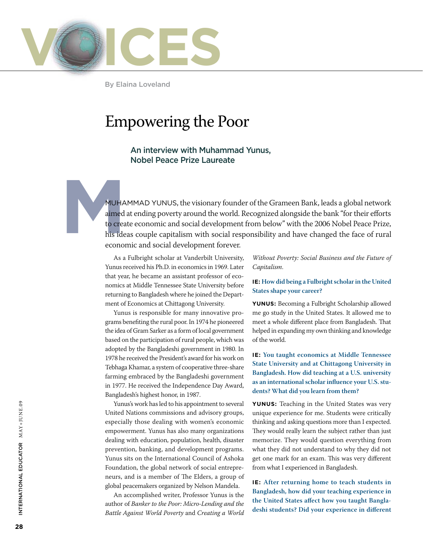

By Elaina Loveland

### Empowering the Poor

An interview with Muhammad Yunus, Nobel Peace Prize Laureate

MUHA<br>
aimed<br>
to crea<br>
his ide<br>
econom MUHAMMAD YUNUS, the visionary founder of the Grameen Bank, leads a global network aimed at ending poverty around the world. Recognized alongside the bank "for their efforts to create economic and social development from below" with the 2006 Nobel Peace Prize, his ideas couple capitalism with social responsibility and have changed the face of rural economic and social development forever.

> As a Fulbright scholar at Vanderbilt University, Yunus received his Ph.D. in economics in 1969. Later that year, he became an assistant professor of economics at Middle Tennessee State University before returning to Bangladesh where he joined the Department of Economics at Chittagong University.

> Yunus is responsible for many innovative programs benefiting the rural poor. In 1974 he pioneered the idea of Gram Sarker as a form of local government based on the participation of rural people, which was adopted by the Bangladeshi government in 1980. In 1978 he received the President's award for his work on Tebhaga Khamar, a system of cooperative three-share farming embraced by the Bangladeshi government in 1977. He received the Independence Day Award, Bangladesh's highest honor, in 1987.

> Yunus's work has led to his appointment to several United Nations commissions and advisory groups, especially those dealing with women's economic empowerment. Yunus has also many organizations dealing with education, population, health, disaster prevention, banking, and development programs. Yunus sits on the International Council of Ashoka Foundation, the global network of social entrepreneurs, and is a member of The Elders, a group of global peacemakers organized by Nelson Mandela.

> An accomplished writer, Professor Yunus is the author of *Banker to the Poor: Micro-Lending and the Battle Against World Poverty* and *Creating a World*

*Without Poverty: Social Business and the Future of Capitalism*.

### **IE: How did being a Fulbright scholar in the United States shape your career?**

**Yunus:** Becoming a Fulbright Scholarship allowed me go study in the United States. It allowed me to meet a whole different place from Bangladesh. That helped in expanding my own thinking and knowledge of the world.

### **IE: You taught economics at Middle Tennessee State University and at Chittagong University in Bangladesh. How did teaching at a U.S. university as an international scholar influence your U.S. students? What did you learn from them?**

**Yunus:** Teaching in the United States was very unique experience for me. Students were critically thinking and asking questions more than I expected. They would really learn the subject rather than just memorize. They would question everything from what they did not understand to why they did not get one mark for an exam. This was very different from what I experienced in Bangladesh.

**IE: After returning home to teach students in Bangladesh, how did your teaching experience in the United States affect how you taught Bangladeshi students? Did your experience in different**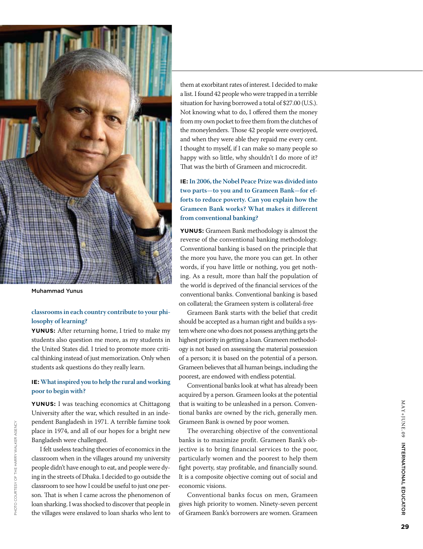

Muhammad Yunus

PHOTO COURTESY OF THE HARRY WALKER AGENCY Photo courtesy of the Harry Walker Agency

### **classrooms in each country contribute to your phi losophy of learning?**

**Yunus:** After returning home, I tried to make my students also question me more, as my students in the United States did. I tried to promote more criti cal thinking instead of just memorization. Only when students ask questions do they really learn.

#### **IE : What inspired you to help the rural and working poor to begin with?**

**Yunus:** I was teaching economics at Chittagong University after the war, which resulted in an inde pendent Bangladesh in 1971. A terrible famine took place in 1974, and all of our hopes for a bright new Bangladesh were challenged.

I felt useless teaching theories of economics in the classroom when in the villages around my university people didn't have enough to eat, and people were dy ing in the streets of Dhaka. I decided to go outside the classroom to see how I could be useful to just one per son. That is when I came across the phenomenon of loan sharking. I was shocked to discover that people in the villages were enslaved to loan sharks who lent to

them at exorbitant rates of interest. I decided to make a list. I found 42 people who were trapped in a terrible situation for having borrowed a total of \$27.00 (U.S.). Not knowing what to do, I offered them the money from my own pocket to free them from the clutches of the moneylenders. Those 42 people were overjoyed, and when they were able they repaid me every cent. I thought to myself, if I can make so many people so happy with so little, why shouldn't I do more of it? That was the birth of Grameen and microcredit.

**IE : In 2006, the Nobel Peace Prize was divided into two parts—to you and to Grameen Bank—for efforts to reduce poverty. Can you explain how the Grameen Bank works? What makes it different from conventional banking?**

**Yunus:** Grameen Bank methodology is almost the reverse of the conventional banking methodology. Conventional banking is based on the principle that the more you have, the more you can get. In other words, if you have little or nothing, you get noth ing. As a result, more than half the population of the world is deprived of the financial services of the conventional banks. Conventional banking is based on collateral; the Grameen system is collateral-free

Grameen Bank starts with the belief that credit should be accepted as a human right and builds a sys tem where one who does not possess anything gets the highest priority in getting a loan. Grameen methodol ogy is not based on assessing the material possession of a person; it is based on the potential of a person. Grameen believes that all human beings, including the poorest, are endowed with endless potential.

Conventional banks look at what has already been acquired by a person. Grameen looks at the potential that is waiting to be unleashed in a person. Conven tional banks are owned by the rich, generally men. Grameen Bank is owned by poor women.

The overarching objective of the conventional banks is to maximize profit. Grameen Bank's ob jective is to bring financial services to the poor, particularly women and the poorest to help them fight poverty, stay profitable, and financially sound. It is a composite objective coming out of social and economic visions.

Conventional banks focus on men, Grameen gives high priority to women. Ninety-seven percent of Grameen Bank's borrowers are women. Grameen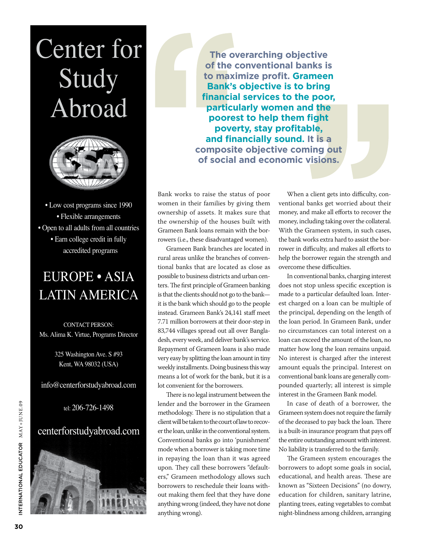# Center for Study Abroad



• Low cost programs since 1990 • Flexible arrangements • Open to all adults from all countries • Earn college credit in fully accredited programs

## EUROPE • ASIA LATIN AMERICA

CONTACT PERSON: Ms. Alima K. Virtue, Programs Director

> 325 Washington Ave. S #93 Kent, WA 98032 (USA)

info@centerforstudyabroad.com

tel: 206-726-1498

### centerforstudyabroad.com



**The overarching objective of the conventional banks is to maximize profit. Grameen Bank's objective is to bring financial services to the poor, particularly women and the poorest to help them fight poverty, stay profitable, and financially sound. It is a composite objective coming out of social and economic visions.**

Bank works to raise the status of poor women in their families by giving them ownership of assets. It makes sure that the ownership of the houses built with Grameen Bank loans remain with the borrowers (i.e., these disadvantaged women).

Grameen Bank branches are located in rural areas unlike the branches of conventional banks that are located as close as possible to business districts and urban centers. The first principle of Grameen banking is that the clients should not go to the bank it is the bank which should go to the people instead. Grameen Bank's 24,141 staff meet 7.71 million borrowers at their door-step in 83,744 villages spread out all over Bangladesh, every week, and deliver bank's service. Repayment of Grameen loans is also made very easy by splitting the loan amount in tiny weekly installments. Doing business this way means a lot of work for the bank, but it is a lot convenient for the borrowers.

There is no legal instrument between the lender and the borrower in the Grameen methodology. There is no stipulation that a client will be taken to the court of law to recover the loan, unlike in the conventional system. Conventional banks go into 'punishment' mode when a borrower is taking more time in repaying the loan than it was agreed upon. They call these borrowers "defaulters," Grameen methodology allows such borrowers to reschedule their loans without making them feel that they have done anything wrong (indeed, they have not done anything wrong).

When a client gets into difficulty, conventional banks get worried about their money, and make all efforts to recover the money, including taking over the collateral. With the Grameen system, in such cases, the bank works extra hard to assist the borrower in difficulty, and makes all efforts to help the borrower regain the strength and overcome these difficulties.

In conventional banks, charging interest does not stop unless specific exception is made to a particular defaulted loan. Interest charged on a loan can be multiple of the principal, depending on the length of the loan period. In Grameen Bank, under no circumstances can total interest on a loan can exceed the amount of the loan, no matter how long the loan remains unpaid. No interest is charged after the interest amount equals the principal. Interest on conventional bank loans are generally compounded quarterly; all interest is simple interest in the Grameen Bank model.

In case of death of a borrower, the Grameen system does not require the family of the deceased to pay back the loan. There is a built-in insurance program that pays off the entire outstanding amount with interest. No liability is transferred to the family.

The Grameen system encourages the borrowers to adopt some goals in social, educational, and health areas. These are known as "Sixteen Decisions" (no dowry, education for children, sanitary latrine, planting trees, eating vegetables to combat night-blindness among children, arranging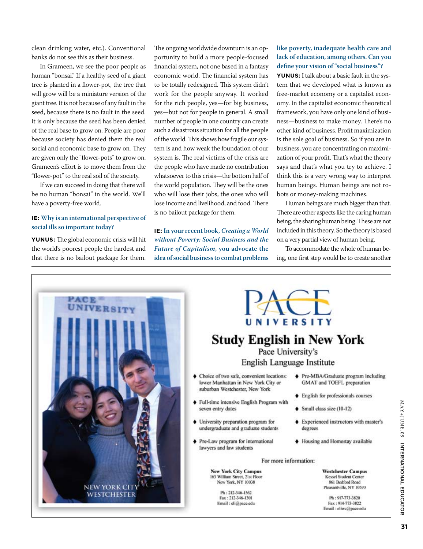clean drinking water, etc.). Conventional banks do not see this as their business.

In Grameen, we see the poor people as human "bonsai." If a healthy seed of a giant tree is planted in a flower-pot, the tree that will grow will be a miniature version of the giant tree. It is not because of any fault in the seed, because there is no fault in the seed. It is only because the seed has been denied of the real base to grow on. People are poor because society has denied them the real social and economic base to grow on. They are given only the "flower-pots" to grow on. Grameen's effort is to move them from the "flower-pot" to the real soil of the society.

If we can succeed in doing that there will be no human "bonsai" in the world. We'll have a poverty-free world.

### **IE: Why is an international perspective of social ills so important today?**

**Yunus:** The global economic crisis will hit the world's poorest people the hardest and that there is no bailout package for them. The ongoing worldwide downturn is an opportunity to build a more people-focused financial system, not one based in a fantasy economic world. The financial system has to be totally redesigned. This system didn't work for the people anyway. It worked for the rich people, yes—for big business, yes—but not for people in general. A small number of people in one country can create such a disastrous situation for all the people of the world. This shows how fragile our system is and how weak the foundation of our system is. The real victims of the crisis are the people who have made no contribution whatsoever to this crisis—the bottom half of the world population. They will be the ones who will lose their jobs, the ones who will lose income and livelihood, and food. There is no bailout package for them.

**IE: In your recent book,** *Creating a World without Poverty: Social Business and the Future of Capitalism***, you advocate the idea of social business to combat problems** 

### **like poverty, inadequate health care and lack of education, among others. Can you define your vision of "social business"?**

**Yunus:** I talk about a basic fault in the system that we developed what is known as free-market economy or a capitalist economy. In the capitalist economic theoretical framework, you have only one kind of business—business to make money. There's no other kind of business. Profit maximization is the sole goal of business. So if you are in business, you are concentrating on maximization of your profit. That's what the theory says and that's what you try to achieve. I think this is a very wrong way to interpret human beings. Human beings are not robots or money-making machines.

Human beings are much bigger than that. There are other aspects like the caring human being, the sharing human being. These are not included in this theory. So the theory is based on a very partial view of human being.

To accommodate the whole of human being, one first step would be to create another